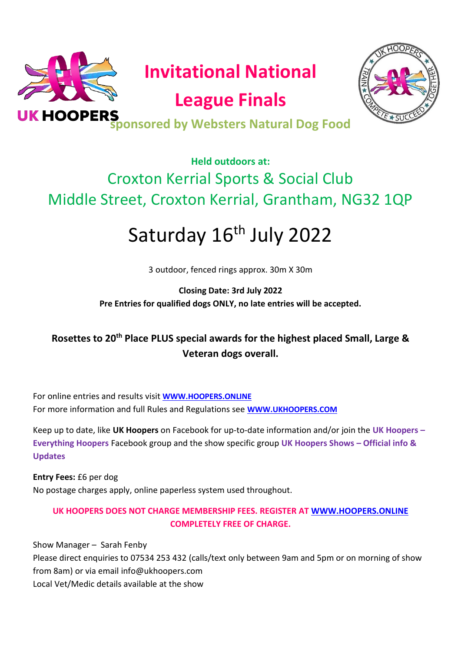



## **Held outdoors at:** Croxton Kerrial Sports & Social Club Middle Street, Croxton Kerrial, Grantham, NG32 1QP

# Saturday 16<sup>th</sup> July 2022

3 outdoor, fenced rings approx. 30m X 30m

**Closing Date: 3rd July 2022 Pre Entries for qualified dogs ONLY, no late entries will be accepted.**

**Rosettes to 20th Place PLUS special awards for the highest placed Small, Large & Veteran dogs overall.** 

For online entries and results visit **[WWW.HOOPERS.ONLINE](http://www.hoopers.online/)** For more information and full Rules and Regulations see **[WWW.UKHOOPERS.COM](http://www.ukhoopers.com/)**

Keep up to date, like **UK Hoopers** on Facebook for up-to-date information and/or join the **UK Hoopers – Everything Hoopers** Facebook group and the show specific group **UK Hoopers Shows – Official info & Updates**

**Entry Fees:** £6 per dog No postage charges apply, online paperless system used throughout.

#### **UK HOOPERS DOES NOT CHARGE MEMBERSHIP FEES. REGISTER AT [WWW.HOOPERS.ONLINE](http://www.hoopers.online/) COMPLETELY FREE OF CHARGE.**

Show Manager – Sarah Fenby Please direct enquiries to 07534 253 432 (calls/text only between 9am and 5pm or on morning of show from 8am) or via email info@ukhoopers.com Local Vet/Medic details available at the show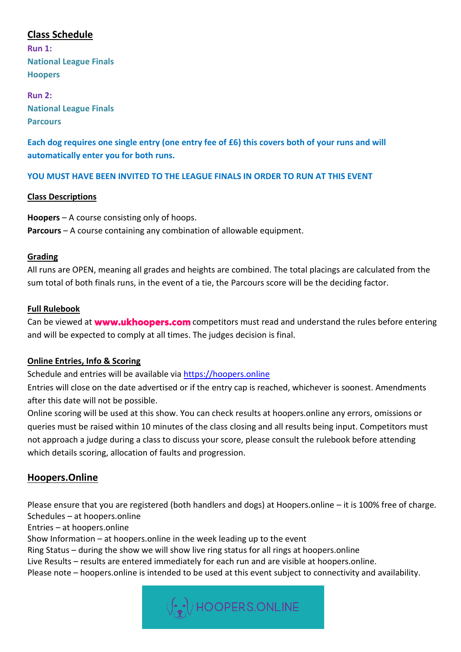#### **Class Schedule**

**Run 1: National League Finals Hoopers**

**Run 2: National League Finals Parcours**

**Each dog requires one single entry (one entry fee of £6) this covers both of your runs and will automatically enter you for both runs.** 

#### **YOU MUST HAVE BEEN INVITED TO THE LEAGUE FINALS IN ORDER TO RUN AT THIS EVENT**

#### **Class Descriptions**

**Hoopers** – A course consisting only of hoops. **Parcours** – A course containing any combination of allowable equipment.

#### **Grading**

All runs are OPEN, meaning all grades and heights are combined. The total placings are calculated from the sum total of both finals runs, in the event of a tie, the Parcours score will be the deciding factor.

#### **Full Rulebook**

Canbe viewed at **www.ukhoopers.com** competitors must read and understand the rules before entering and will be expected to comply at all times. The judges decision is final.

#### **Online Entries, Info & Scoring**

Schedule and entries will be available via [https://hoopers.online](https://hoopers.online/)

Entries will close on the date advertised or if the entry cap is reached, whichever is soonest. Amendments after this date will not be possible.

Online scoring will be used at this show. You can check results at hoopers.online any errors, omissions or queries must be raised within 10 minutes of the class closing and all results being input. Competitors must not approach a judge during a class to discuss your score, please consult the rulebook before attending which details scoring, allocation of faults and progression.

#### **Hoopers.Online**

Please ensure that you are registered (both handlers and dogs) at Hoopers.online – it is 100% free of charge. Schedules – at hoopers.online

Entries – at hoopers.online

Show Information – at hoopers.online in the week leading up to the event

Ring Status – during the show we will show live ring status for all rings at hoopers.online

Live Results – results are entered immediately for each run and are visible at hoopers.online.

Please note – hoopers.online is intended to be used at this event subject to connectivity and availability.

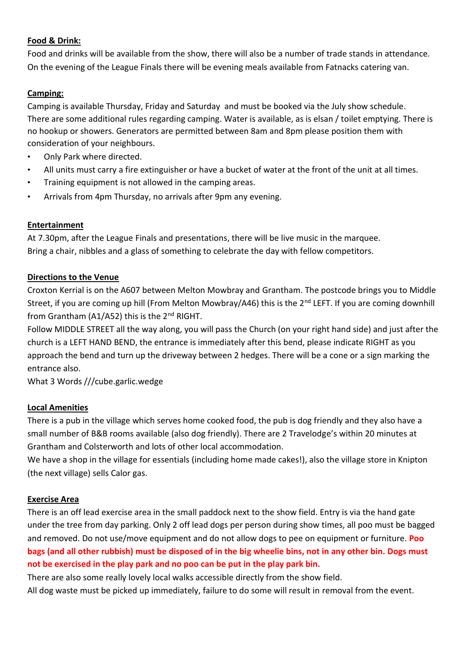#### **Food & Drink:**

Food and drinks will be available from the show, there will also be a number of trade stands in attendance. On the evening of the League Finals there will be evening meals available from Fatnacks catering van.

#### **Camping:**

Camping is available Thursday, Friday and Saturday and must be booked via the July show schedule. There are some additional rules regarding camping. Water is available, as is elsan / toilet emptying. There is no hookup or showers. Generators are permitted between 8am and 8pm please position them with consideration of your neighbours.

- Only Park where directed.
- All units must carry a fire extinguisher or have a bucket of water at the front of the unit at all times.
- Training equipment is not allowed in the camping areas.
- Arrivals from 4pm Thursday, no arrivals after 9pm any evening.

#### **Entertainment**

At 7.30pm, after the League Finals and presentations, there will be live music in the marquee. Bring a chair, nibbles and a glass of something to celebrate the day with fellow competitors.

#### **Directions to the Venue**

Croxton Kerrial is on the A607 between Melton Mowbray and Grantham. The postcode brings you to Middle Street, if you are coming up hill (From Melton Mowbray/A46) this is the 2<sup>nd</sup> LEFT. If you are coming downhill from Grantham (A1/A52) this is the 2<sup>nd</sup> RIGHT.

Follow MIDDLE STREET all the way along, you will pass the Church (on your right hand side) and just after the church is a LEFT HAND BEND, the entrance is immediately after this bend, please indicate RIGHT as you approach the bend and turn up the driveway between 2 hedges. There will be a cone or a sign marking the entrance also.

What 3 Words ///cube.garlic.wedge

#### **Local Amenities**

There is a pub in the village which serves home cooked food, the pub is dog friendly and they also have a small number of B&B rooms available (also dog friendly). There are 2 Travelodge's within 20 minutes at Grantham and Colsterworth and lots of other local accommodation.

We have a shop in the village for essentials (including home made cakes!), also the village store in Knipton (the next village) sells Calor gas.

#### **Exercise Area**

There is an off lead exercise area in the small paddock next to the show field. Entry is via the hand gate under the tree from day parking. Only 2 off lead dogs per person during show times, all poo must be bagged and removed. Do not use/move equipment and do not allow dogs to pee on equipment or furniture. **Poo bags (and all other rubbish) must be disposed of in the big wheelie bins, not in any other bin. Dogs must not be exercised in the play park and no poo can be put in the play park bin.** 

There are also some really lovely local walks accessible directly from the show field.

All dog waste must be picked up immediately, failure to do some will result in removal from the event.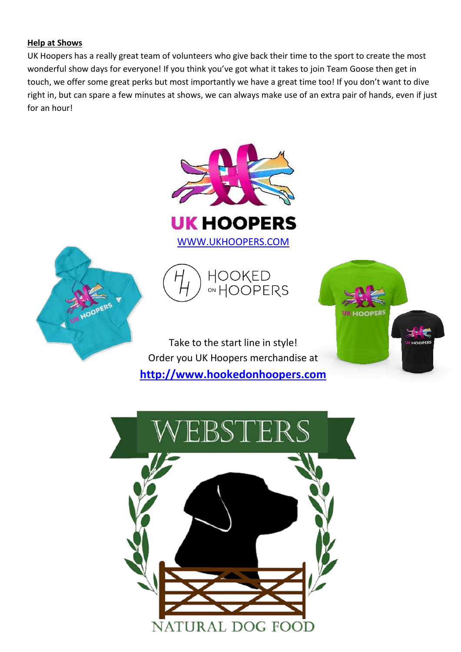#### **Help at Shows**

UK Hoopers has a really great team of volunteers who give back their time to the sport to create the most wonderful show days for everyone! If you think you've got what it takes to join Team Goose then get in touch, we offer some great perks but most importantly we have a great time too! If you don't want to dive right in, but can spare a few minutes at shows, we can always make use of an extra pair of hands, even if just for an hour!











Take to the start line in style! Order you UK Hoopers merchandise at **[http://www.hookedonhoopers.com](http://www.hookedonhoopers.com/)**

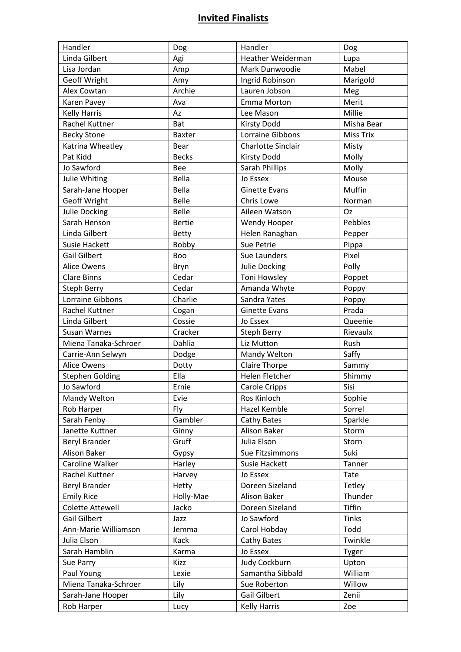### **Invited Finalists**

| Handler                 | Dog           | Handler               | Dog              |
|-------------------------|---------------|-----------------------|------------------|
| Linda Gilbert           | Agi           | Heather Weiderman     | Lupa             |
| Lisa Jordan             | Amp           | Mark Dunwoodie        | Mabel            |
| <b>Geoff Wright</b>     | Amy           | Ingrid Robinson       | Marigold         |
| Alex Cowtan             | Archie        | Lauren Jobson         | Meg              |
| Karen Pavey             | Ava           | Emma Morton           | Merit            |
| <b>Kelly Harris</b>     | Az            | Lee Mason             | Millie           |
| <b>Rachel Kuttner</b>   | <b>Bat</b>    | <b>Kirsty Dodd</b>    | Misha Bear       |
| <b>Becky Stone</b>      | <b>Baxter</b> | Lorraine Gibbons      | <b>Miss Trix</b> |
| Katrina Wheatley        | Bear          | Charlotte Sinclair    | Misty            |
| Pat Kidd                | <b>Becks</b>  | <b>Kirsty Dodd</b>    | Molly            |
| Jo Sawford              | Bee           | Sarah Phillips        | Molly            |
| Julie Whiting           | Bella         | Jo Essex              | Mouse            |
| Sarah-Jane Hooper       | Bella         | <b>Ginette Evans</b>  | Muffin           |
| <b>Geoff Wright</b>     | <b>Belle</b>  | Chris Lowe            | Norman           |
| <b>Julie Docking</b>    | <b>Belle</b>  | Aileen Watson         | Oz               |
| Sarah Henson            | <b>Bertie</b> | Wendy Hooper          | Pebbles          |
| Linda Gilbert           | <b>Betty</b>  | Helen Ranaghan        | Pepper           |
| <b>Susie Hackett</b>    | Bobby         | Sue Petrie            | Pippa            |
| Gail Gilbert            | Boo           | Sue Launders          | Pixel            |
| <b>Alice Owens</b>      | Bryn          | Julie Docking         | Polly            |
| <b>Clare Binns</b>      | Cedar         | Toni Howsley          | Poppet           |
| <b>Steph Berry</b>      | Cedar         | Amanda Whyte          | Poppy            |
| Lorraine Gibbons        | Charlie       | Sandra Yates          | Poppy            |
| Rachel Kuttner          | Cogan         | <b>Ginette Evans</b>  | Prada            |
| Linda Gilbert           | Cossie        | Jo Essex              | Queenie          |
| <b>Susan Warnes</b>     | Cracker       | Steph Berry           | Rievaulx         |
| Miena Tanaka-Schroer    | Dahlia        | Liz Mutton            | Rush             |
| Carrie-Ann Selwyn       | Dodge         | Mandy Welton          | Saffy            |
| <b>Alice Owens</b>      | Dotty         | <b>Claire Thorpe</b>  | Sammy            |
| <b>Stephen Golding</b>  | Ella          | <b>Helen Fletcher</b> | Shimmy           |
| Jo Sawford              | Ernie         | Carole Cripps         | Sisi             |
| Mandy Welton            | Evie          | Ros Kinloch           | Sophie           |
| Rob Harper              | Fly           | Hazel Kemble          | Sorrel           |
| Sarah Fenby             | Gambler       | Cathy Bates           | Sparkle          |
| Janette Kuttner         | Ginny         | Alison Baker          | Storm            |
| <b>Beryl Brander</b>    | Gruff         | Julia Elson           | Storn            |
| Alison Baker            | Gypsy         | Sue Fitzsimmons       | Suki             |
| Caroline Walker         | Harley        | Susie Hackett         | Tanner           |
| Rachel Kuttner          | Harvey        | Jo Essex              | Tate             |
| <b>Beryl Brander</b>    | Hetty         | Doreen Sizeland       | Tetley           |
| <b>Emily Rice</b>       | Holly-Mae     | Alison Baker          | Thunder          |
| <b>Colette Attewell</b> | Jacko         | Doreen Sizeland       | Tiffin           |
| Gail Gilbert            | Jazz          | Jo Sawford            | <b>Tinks</b>     |
| Ann-Marie Williamson    | Jemma         | Carol Hobday          | Todd             |
| Julia Elson             | Kack          | Cathy Bates           | Twinkle          |
| Sarah Hamblin           | Karma         | Jo Essex              | Tyger            |
| Sue Parry               | Kizz          | Judy Cockburn         | Upton            |
| Paul Young              | Lexie         | Samantha Sibbald      | William          |
| Miena Tanaka-Schroer    | Lily          | Sue Roberton          | Willow           |
| Sarah-Jane Hooper       | Lily          | <b>Gail Gilbert</b>   | Zenii            |
| Rob Harper              | Lucy          | <b>Kelly Harris</b>   | Zoe              |